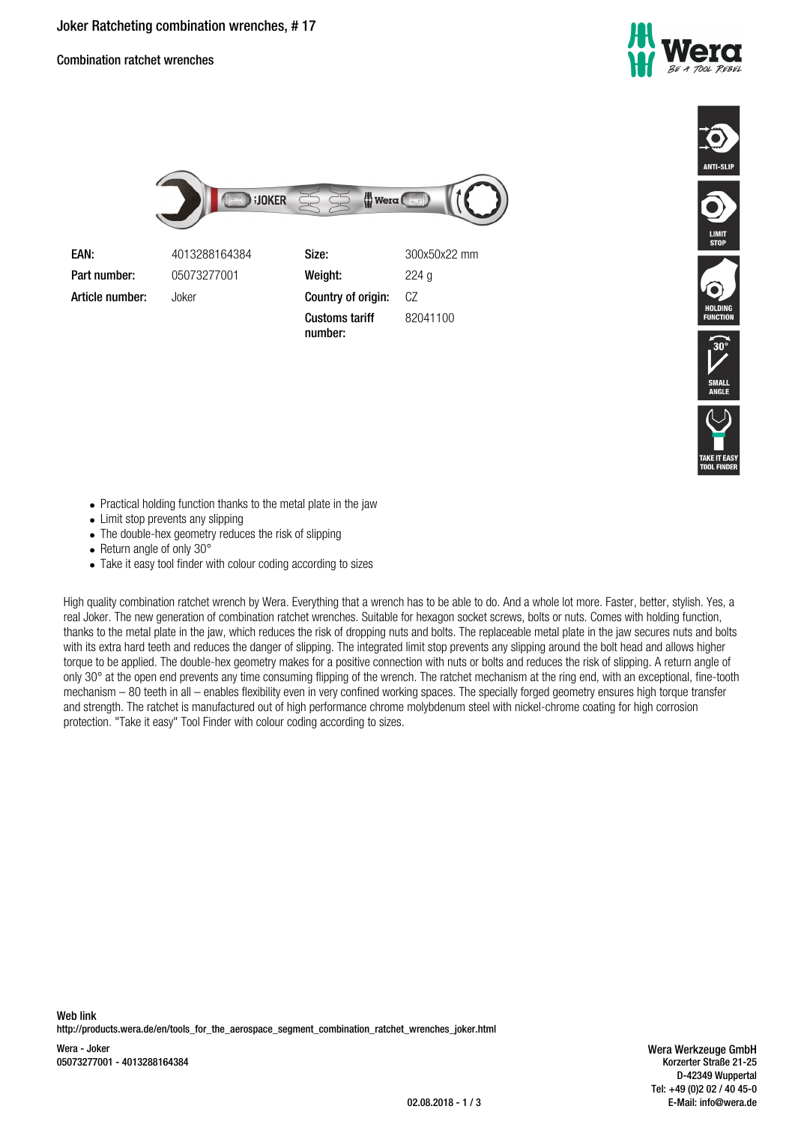Combination ratchet wrenches





| EAN:            | 4013288164384 | Size:                            | 300x50x22 mm |
|-----------------|---------------|----------------------------------|--------------|
| Part number:    | 05073277001   | Weight:                          | 224q         |
| Article number: | Joker         | Country of origin:               | CZ           |
|                 |               | <b>Customs tariff</b><br>number: | 82041100     |







- Practical holding function thanks to the metal plate in the jaw
- Limit stop prevents any slipping
- The double-hex geometry reduces the risk of slipping
- $\bullet$  Return angle of only 30 $^{\circ}$
- Take it easy tool finder with colour coding according to sizes

High quality combination ratchet wrench by Wera. Everything that a wrench has to be able to do. And a whole lot more. Faster, better, stylish. Yes, a real Joker. The new generation of combination ratchet wrenches. Suitable for hexagon socket screws, bolts or nuts. Comes with holding function, thanks to the metal plate in the jaw, which reduces the risk of dropping nuts and bolts. The replaceable metal plate in the jaw secures nuts and bolts with its extra hard teeth and reduces the danger of slipping. The integrated limit stop prevents any slipping around the bolt head and allows higher torque to be applied. The double-hex geometry makes for a positive connection with nuts or bolts and reduces the risk of slipping. A return angle of only 30° at the open end prevents any time consuming flipping of the wrench. The ratchet mechanism at the ring end, with an exceptional, fine-tooth mechanism – 80 teeth in all – enables flexibility even in very confined working spaces. The specially forged geometry ensures high torque transfer and strength. The ratchet is manufactured out of high performance chrome molybdenum steel with nickel-chrome coating for high corrosion protection. "Take it easy" Tool Finder with colour coding according to sizes.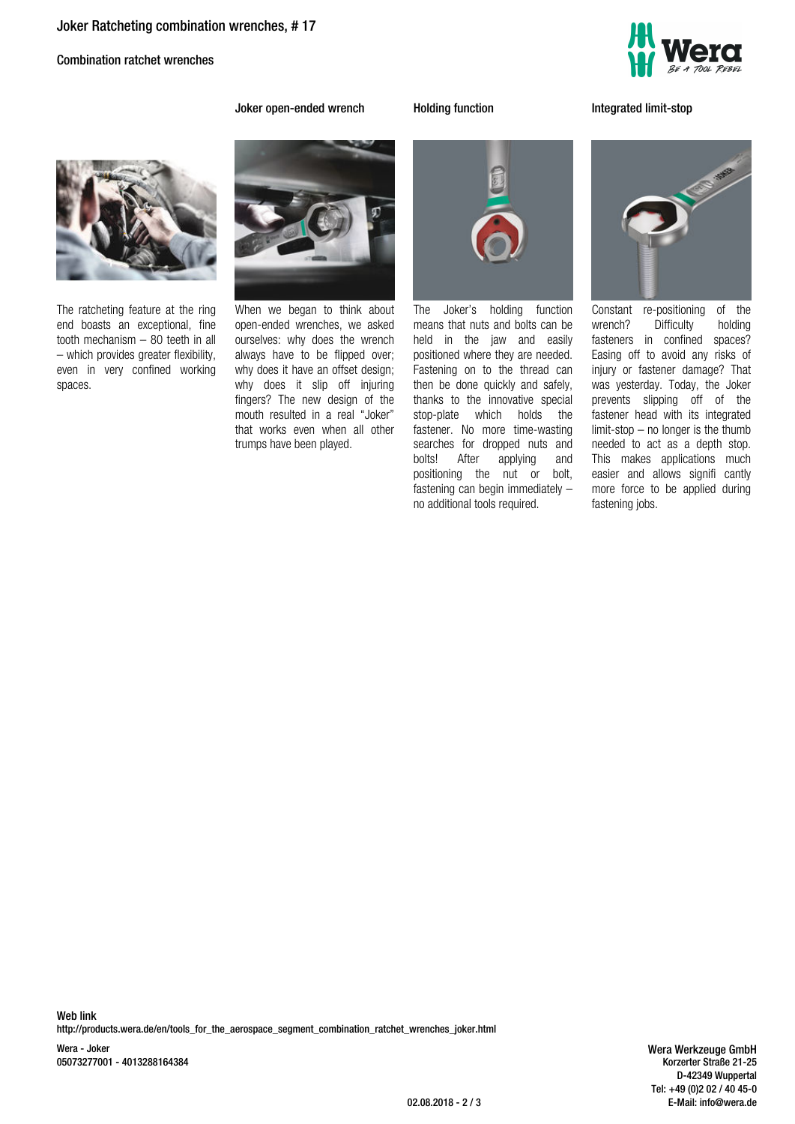Combination ratchet wrenches



**Joker open-ended wrench Holding function Integrated limit-stop**



The ratcheting feature at the ring end boasts an exceptional, fine tooth mechanism – 80 teeth in all – which provides greater flexibility, even in very confined working spaces.



When we began to think about open-ended wrenches, we asked ourselves: why does the wrench always have to be flipped over; why does it have an offset design; why does it slip off injuring fingers? The new design of the mouth resulted in a real "Joker" that works even when all other trumps have been played.



The Joker's holding function means that nuts and bolts can be held in the jaw and easily positioned where they are needed. Fastening on to the thread can then be done quickly and safely, thanks to the innovative special stop-plate which holds the fastener. No more time-wasting searches for dropped nuts and<br>bolts! After applying and applying positioning the nut or bolt, fastening can begin immediately – no additional tools required.



Constant re-positioning of the wrench? Difficulty holding fasteners in confined spaces? Easing off to avoid any risks of injury or fastener damage? That was yesterday. Today, the Joker prevents slipping off of the fastener head with its integrated limit-stop – no longer is the thumb needed to act as a depth stop. This makes applications much easier and allows signifi cantly more force to be applied during fastening jobs.